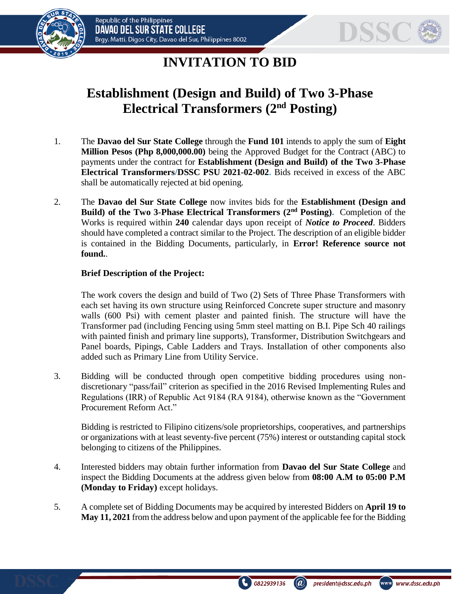



# **INVITATION TO BID**

# **Establishment (Design and Build) of Two 3-Phase Electrical Transformers (2nd Posting)**

- 1. The **Davao del Sur State College** through the **Fund 101** intends to apply the sum of **Eight Million Pesos (Php 8,000,000.00)** being the Approved Budget for the Contract (ABC) to payments under the contract for **Establishment (Design and Build) of the Two 3-Phase Electrical Transformers/DSSC PSU 2021-02-002.** Bids received in excess of the ABC shall be automatically rejected at bid opening.
- 2. The **Davao del Sur State College** now invites bids for the **Establishment (Design and Build) of the Two 3-Phase Electrical Transformers (2nd Posting).** Completion of the Works is required within **240** calendar days upon receipt of *Notice to Proceed*. Bidders should have completed a contract similar to the Project. The description of an eligible bidder is contained in the Bidding Documents, particularly, in **Error! Reference source not found.**.

#### **Brief Description of the Project:**

The work covers the design and build of Two (2) Sets of Three Phase Transformers with each set having its own structure using Reinforced Concrete super structure and masonry walls (600 Psi) with cement plaster and painted finish. The structure will have the Transformer pad (including Fencing using 5mm steel matting on B.I. Pipe Sch 40 railings with painted finish and primary line supports), Transformer, Distribution Switchgears and Panel boards, Pipings, Cable Ladders and Trays. Installation of other components also added such as Primary Line from Utility Service.

3. Bidding will be conducted through open competitive bidding procedures using nondiscretionary "pass/fail" criterion as specified in the 2016 Revised Implementing Rules and Regulations (IRR) of Republic Act 9184 (RA 9184), otherwise known as the "Government Procurement Reform Act."

Bidding is restricted to Filipino citizens/sole proprietorships, cooperatives, and partnerships or organizations with at least seventy-five percent (75%) interest or outstanding capital stock belonging to citizens of the Philippines.

- 4. Interested bidders may obtain further information from **Davao del Sur State College** and inspect the Bidding Documents at the address given below from **08:00 A.M to 05:00 P.M (Monday to Friday)** except holidays.
- 5. A complete set of Bidding Documents may be acquired by interested Bidders on **April 19 to May 11, 2021** from the address below and upon payment of the applicable fee for the Bidding

0822939136

www www.dssc.edu.ph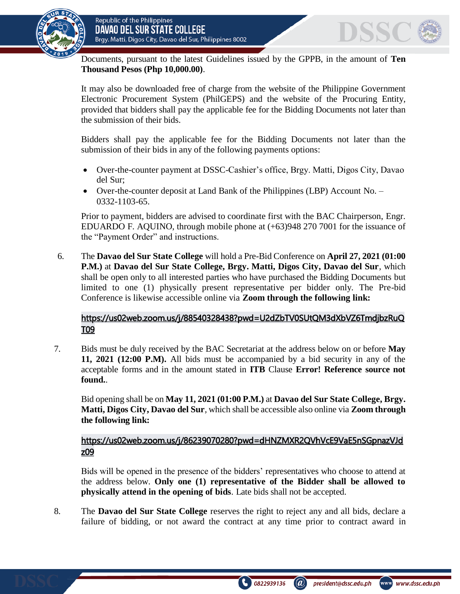

Documents, pursuant to the latest Guidelines issued by the GPPB, in the amount of **Ten Thousand Pesos (Php 10,000.00)**.

It may also be downloaded free of charge from the website of the Philippine Government Electronic Procurement System (PhilGEPS) and the website of the Procuring Entity*,*  provided that bidders shall pay the applicable fee for the Bidding Documents not later than the submission of their bids.

Bidders shall pay the applicable fee for the Bidding Documents not later than the submission of their bids in any of the following payments options:

- Over-the-counter payment at DSSC-Cashier's office, Brgy. Matti, Digos City, Davao del Sur;
- Over-the-counter deposit at Land Bank of the Philippines (LBP) Account No. 0332-1103-65.

Prior to payment, bidders are advised to coordinate first with the BAC Chairperson, Engr. EDUARDO F. AQUINO, through mobile phone at (+63)948 270 7001 for the issuance of the "Payment Order" and instructions.

6. The **Davao del Sur State College** will hold a Pre-Bid Conference on **April 27, 2021 (01:00 P.M.)** at **Davao del Sur State College, Brgy. Matti, Digos City, Davao del Sur***,* which shall be open only to all interested parties who have purchased the Bidding Documents but limited to one (1) physically present representative per bidder only. The Pre-bid Conference is likewise accessible online via **Zoom through the following link:**

## [https://us02web.zoom.us/j/88540328438?pwd=U2dZbTV0SUtQM3dXbVZ6TmdjbzRuQ](https://us02web.zoom.us/j/88540328438?pwd=U2dZbTV0SUtQM3dXbVZ6TmdjbzRuQT09) [T09](https://us02web.zoom.us/j/88540328438?pwd=U2dZbTV0SUtQM3dXbVZ6TmdjbzRuQT09)

7. Bids must be duly received by the BAC Secretariat at the address below on or before **May 11, 2021 (12:00 P.M).** All bids must be accompanied by a bid security in any of the acceptable forms and in the amount stated in **ITB** Clause **Error! Reference source not found.**.

Bid opening shall be on **May 11, 2021 (01:00 P.M.)** at **Davao del Sur State College, Brgy. Matti, Digos City, Davao del Sur***,* which shall be accessible also online via **Zoom through the following link:**

## [https://us02web.zoom.us/j/86239070280?pwd=dHNZMXR2QVhVcE9VaE5nSGpnazVJd](https://us02web.zoom.us/j/86239070280?pwd=dHNZMXR2QVhVcE9VaE5nSGpnazVJdz09) [z09](https://us02web.zoom.us/j/86239070280?pwd=dHNZMXR2QVhVcE9VaE5nSGpnazVJdz09)

Bids will be opened in the presence of the bidders' representatives who choose to attend at the address below. **Only one (1) representative of the Bidder shall be allowed to physically attend in the opening of bids**. Late bids shall not be accepted.

8. The **Davao del Sur State College** reserves the right to reject any and all bids, declare a failure of bidding, or not award the contract at any time prior to contract award in